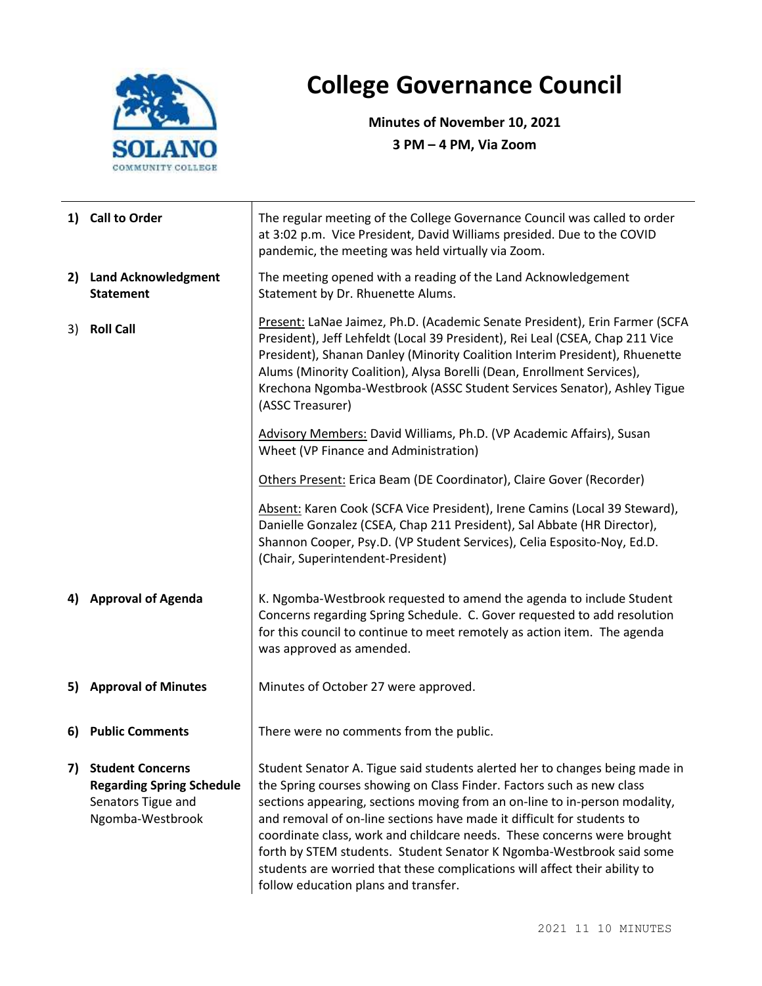

## **College Governance Council**

**Minutes of November 10, 2021 3 PM – 4 PM, Via Zoom**

|    | 1) Call to Order                                                                                      | The regular meeting of the College Governance Council was called to order<br>at 3:02 p.m. Vice President, David Williams presided. Due to the COVID<br>pandemic, the meeting was held virtually via Zoom.                                                                                                                                                                                                                                                                                                                                                                             |  |  |
|----|-------------------------------------------------------------------------------------------------------|---------------------------------------------------------------------------------------------------------------------------------------------------------------------------------------------------------------------------------------------------------------------------------------------------------------------------------------------------------------------------------------------------------------------------------------------------------------------------------------------------------------------------------------------------------------------------------------|--|--|
|    | 2) Land Acknowledgment<br><b>Statement</b>                                                            | The meeting opened with a reading of the Land Acknowledgement<br>Statement by Dr. Rhuenette Alums.                                                                                                                                                                                                                                                                                                                                                                                                                                                                                    |  |  |
| 3) | <b>Roll Call</b>                                                                                      | Present: LaNae Jaimez, Ph.D. (Academic Senate President), Erin Farmer (SCFA<br>President), Jeff Lehfeldt (Local 39 President), Rei Leal (CSEA, Chap 211 Vice<br>President), Shanan Danley (Minority Coalition Interim President), Rhuenette<br>Alums (Minority Coalition), Alysa Borelli (Dean, Enrollment Services),<br>Krechona Ngomba-Westbrook (ASSC Student Services Senator), Ashley Tigue<br>(ASSC Treasurer)                                                                                                                                                                  |  |  |
|    |                                                                                                       | Advisory Members: David Williams, Ph.D. (VP Academic Affairs), Susan<br>Wheet (VP Finance and Administration)                                                                                                                                                                                                                                                                                                                                                                                                                                                                         |  |  |
|    |                                                                                                       | Others Present: Erica Beam (DE Coordinator), Claire Gover (Recorder)                                                                                                                                                                                                                                                                                                                                                                                                                                                                                                                  |  |  |
|    |                                                                                                       | Absent: Karen Cook (SCFA Vice President), Irene Camins (Local 39 Steward),<br>Danielle Gonzalez (CSEA, Chap 211 President), Sal Abbate (HR Director),<br>Shannon Cooper, Psy.D. (VP Student Services), Celia Esposito-Noy, Ed.D.<br>(Chair, Superintendent-President)                                                                                                                                                                                                                                                                                                                 |  |  |
|    | 4) Approval of Agenda                                                                                 | K. Ngomba-Westbrook requested to amend the agenda to include Student<br>Concerns regarding Spring Schedule. C. Gover requested to add resolution<br>for this council to continue to meet remotely as action item. The agenda<br>was approved as amended.                                                                                                                                                                                                                                                                                                                              |  |  |
|    | 5) Approval of Minutes                                                                                | Minutes of October 27 were approved.                                                                                                                                                                                                                                                                                                                                                                                                                                                                                                                                                  |  |  |
| 6) | <b>Public Comments</b>                                                                                | There were no comments from the public.                                                                                                                                                                                                                                                                                                                                                                                                                                                                                                                                               |  |  |
| 7) | <b>Student Concerns</b><br><b>Regarding Spring Schedule</b><br>Senators Tigue and<br>Ngomba-Westbrook | Student Senator A. Tigue said students alerted her to changes being made in<br>the Spring courses showing on Class Finder. Factors such as new class<br>sections appearing, sections moving from an on-line to in-person modality,<br>and removal of on-line sections have made it difficult for students to<br>coordinate class, work and childcare needs. These concerns were brought<br>forth by STEM students. Student Senator K Ngomba-Westbrook said some<br>students are worried that these complications will affect their ability to<br>follow education plans and transfer. |  |  |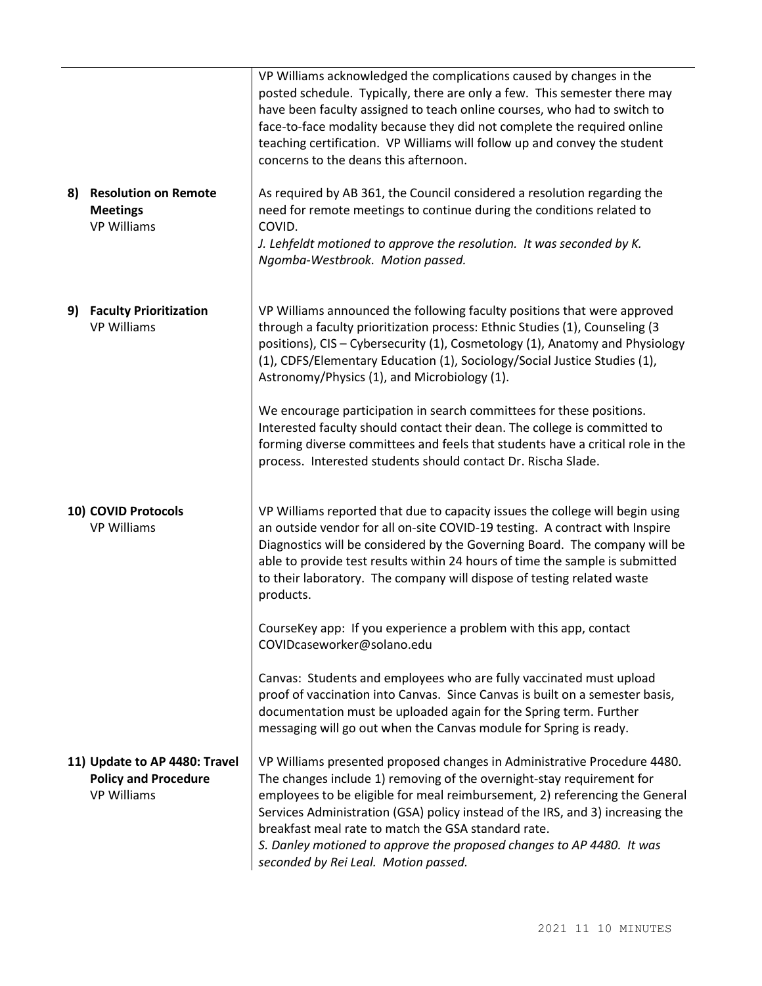|                                                                                    | VP Williams acknowledged the complications caused by changes in the<br>posted schedule. Typically, there are only a few. This semester there may<br>have been faculty assigned to teach online courses, who had to switch to<br>face-to-face modality because they did not complete the required online<br>teaching certification. VP Williams will follow up and convey the student<br>concerns to the deans this afternoon.                                                              |  |
|------------------------------------------------------------------------------------|--------------------------------------------------------------------------------------------------------------------------------------------------------------------------------------------------------------------------------------------------------------------------------------------------------------------------------------------------------------------------------------------------------------------------------------------------------------------------------------------|--|
| <b>Resolution on Remote</b><br>8)<br><b>Meetings</b><br><b>VP Williams</b>         | As required by AB 361, the Council considered a resolution regarding the<br>need for remote meetings to continue during the conditions related to<br>COVID.<br>J. Lehfeldt motioned to approve the resolution. It was seconded by K.<br>Ngomba-Westbrook. Motion passed.                                                                                                                                                                                                                   |  |
| <b>Faculty Prioritization</b><br>9)<br><b>VP Williams</b>                          | VP Williams announced the following faculty positions that were approved<br>through a faculty prioritization process: Ethnic Studies (1), Counseling (3<br>positions), CIS - Cybersecurity (1), Cosmetology (1), Anatomy and Physiology<br>(1), CDFS/Elementary Education (1), Sociology/Social Justice Studies (1),<br>Astronomy/Physics (1), and Microbiology (1).                                                                                                                       |  |
|                                                                                    | We encourage participation in search committees for these positions.<br>Interested faculty should contact their dean. The college is committed to<br>forming diverse committees and feels that students have a critical role in the<br>process. Interested students should contact Dr. Rischa Slade.                                                                                                                                                                                       |  |
| 10) COVID Protocols<br><b>VP Williams</b>                                          | VP Williams reported that due to capacity issues the college will begin using<br>an outside vendor for all on-site COVID-19 testing. A contract with Inspire<br>Diagnostics will be considered by the Governing Board. The company will be<br>able to provide test results within 24 hours of time the sample is submitted<br>to their laboratory. The company will dispose of testing related waste<br>products.                                                                          |  |
|                                                                                    | CourseKey app: If you experience a problem with this app, contact<br>COVIDcaseworker@solano.edu                                                                                                                                                                                                                                                                                                                                                                                            |  |
|                                                                                    | Canvas: Students and employees who are fully vaccinated must upload<br>proof of vaccination into Canvas. Since Canvas is built on a semester basis,<br>documentation must be uploaded again for the Spring term. Further<br>messaging will go out when the Canvas module for Spring is ready.                                                                                                                                                                                              |  |
| 11) Update to AP 4480: Travel<br><b>Policy and Procedure</b><br><b>VP Williams</b> | VP Williams presented proposed changes in Administrative Procedure 4480.<br>The changes include 1) removing of the overnight-stay requirement for<br>employees to be eligible for meal reimbursement, 2) referencing the General<br>Services Administration (GSA) policy instead of the IRS, and 3) increasing the<br>breakfast meal rate to match the GSA standard rate.<br>S. Danley motioned to approve the proposed changes to AP 4480. It was<br>seconded by Rei Leal. Motion passed. |  |